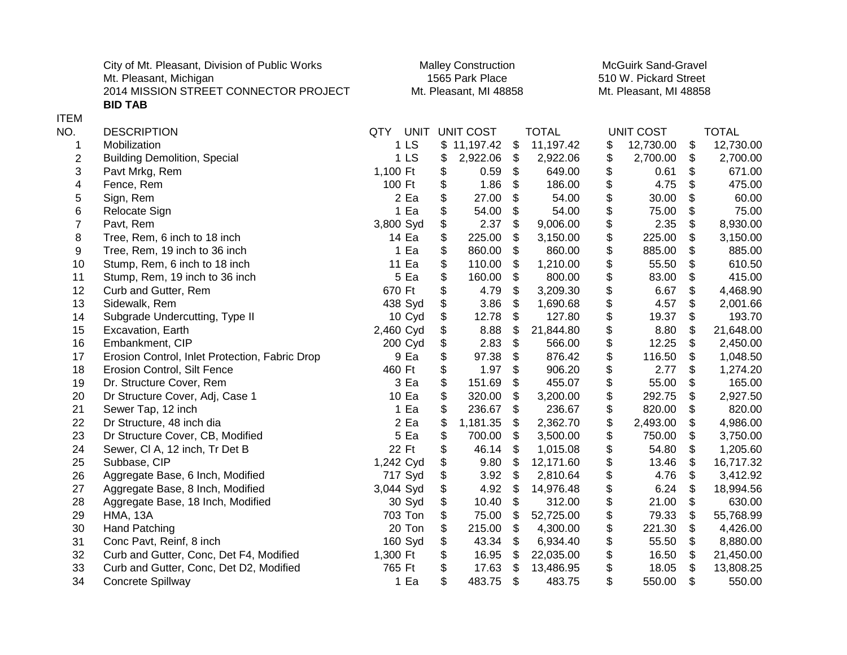| City of Mt. Pleasant, Division of Public Works | <b>Malley Construction</b> | M  |  |  |
|------------------------------------------------|----------------------------|----|--|--|
| Mt. Pleasant, Michigan                         | 1565 Park Place            | 51 |  |  |
| 2014 MISSION STREET CONNECTOR PROJECT          | Mt. Pleasant, MI 48858     | M  |  |  |
| <b>BID TAB</b>                                 |                            |    |  |  |

ITEM

## **McGuirk Sand-Gravel** 10 W. Pickard Street t. Pleasant, MI 48858

| NO.                       | <b>DESCRIPTION</b>                             | QTY<br>UNIT     | <b>UNIT COST</b> |                            | <b>TOTAL</b> | <b>UNIT COST</b> | <b>TOTAL</b>    |
|---------------------------|------------------------------------------------|-----------------|------------------|----------------------------|--------------|------------------|-----------------|
| 1                         | Mobilization                                   | 1 <sub>LS</sub> | \$11,197.42      | \$                         | 11,197.42    | \$<br>12,730.00  | \$<br>12,730.00 |
| $\overline{\mathbf{c}}$   | <b>Building Demolition, Special</b>            | 1 <sub>LS</sub> | \$<br>2,922.06   | \$                         | 2,922.06     | \$<br>2,700.00   | \$<br>2,700.00  |
| $\ensuremath{\mathsf{3}}$ | Pavt Mrkg, Rem                                 | 1,100 Ft        | \$<br>0.59       | \$                         | 649.00       | \$<br>0.61       | \$<br>671.00    |
| 4                         | Fence, Rem                                     | 100 Ft          | \$<br>1.86       | \$                         | 186.00       | \$<br>4.75       | \$<br>475.00    |
| 5                         | Sign, Rem                                      | 2 Ea            | \$<br>27.00      | \$                         | 54.00        | \$<br>30.00      | \$<br>60.00     |
| 6                         | Relocate Sign                                  | 1 Ea            | \$<br>54.00      | \$                         | 54.00        | \$<br>75.00      | \$<br>75.00     |
| 7                         | Pavt, Rem                                      | 3,800 Syd       | \$<br>2.37       | \$                         | 9,006.00     | \$<br>2.35       | \$<br>8,930.00  |
| 8                         | Tree, Rem, 6 inch to 18 inch                   | 14 Ea           | \$<br>225.00     | \$                         | 3,150.00     | \$<br>225.00     | \$<br>3,150.00  |
| 9                         | Tree, Rem, 19 inch to 36 inch                  | 1 Ea            | \$<br>860.00     | \$                         | 860.00       | \$<br>885.00     | \$<br>885.00    |
| 10                        | Stump, Rem, 6 inch to 18 inch                  | 11 Ea           | \$<br>110.00     | \$                         | 1,210.00     | \$<br>55.50      | \$<br>610.50    |
| 11                        | Stump, Rem, 19 inch to 36 inch                 | 5 Ea            | \$<br>160.00     | \$                         | 800.00       | \$<br>83.00      | \$<br>415.00    |
| 12                        | Curb and Gutter, Rem                           | 670 Ft          | \$<br>4.79       | \$                         | 3,209.30     | \$<br>6.67       | \$<br>4,468.90  |
| 13                        | Sidewalk, Rem                                  | 438 Syd         | \$<br>3.86       | \$                         | 1,690.68     | \$<br>4.57       | \$<br>2,001.66  |
| 14                        | Subgrade Undercutting, Type II                 | 10 Cyd          | \$<br>12.78      | \$                         | 127.80       | \$<br>19.37      | \$<br>193.70    |
| 15                        | Excavation, Earth                              | 2,460 Cyd       | \$<br>8.88       | \$                         | 21,844.80    | \$<br>8.80       | \$<br>21,648.00 |
| 16                        | Embankment, CIP                                | 200 Cyd         | \$<br>2.83       | \$                         | 566.00       | \$<br>12.25      | \$<br>2,450.00  |
| 17                        | Erosion Control, Inlet Protection, Fabric Drop | 9 Ea            | \$<br>97.38      | \$                         | 876.42       | \$<br>116.50     | \$<br>1,048.50  |
| 18                        | <b>Erosion Control, Silt Fence</b>             | 460 Ft          | \$<br>1.97       | \$                         | 906.20       | \$<br>2.77       | \$<br>1,274.20  |
| 19                        | Dr. Structure Cover, Rem                       | 3 Ea            | \$<br>151.69     | \$                         | 455.07       | \$<br>55.00      | \$<br>165.00    |
| 20                        | Dr Structure Cover, Adj, Case 1                | 10 Ea           | \$<br>320.00     | \$                         | 3,200.00     | \$<br>292.75     | \$<br>2,927.50  |
| 21                        | Sewer Tap, 12 inch                             | 1 Ea            | \$<br>236.67     | \$                         | 236.67       | \$<br>820.00     | \$<br>820.00    |
| 22                        | Dr Structure, 48 inch dia                      | 2 Ea            | \$<br>1,181.35   | \$                         | 2,362.70     | \$<br>2,493.00   | \$<br>4,986.00  |
| 23                        | Dr Structure Cover, CB, Modified               | 5 Ea            | \$<br>700.00     | \$                         | 3,500.00     | \$<br>750.00     | \$<br>3,750.00  |
| 24                        | Sewer, CI A, 12 inch, Tr Det B                 | 22 Ft           | \$<br>46.14      | \$                         | 1,015.08     | \$<br>54.80      | \$<br>1,205.60  |
| 25                        | Subbase, CIP                                   | 1,242 Cyd       | \$<br>9.80       | \$                         | 12,171.60    | \$<br>13.46      | \$<br>16,717.32 |
| 26                        | Aggregate Base, 6 Inch, Modified               | 717 Syd         | \$<br>3.92       | \$                         | 2,810.64     | \$<br>4.76       | \$<br>3,412.92  |
| 27                        | Aggregate Base, 8 Inch, Modified               | 3,044 Syd       | \$<br>4.92       | \$                         | 14,976.48    | \$<br>6.24       | \$<br>18,994.56 |
| 28                        | Aggregate Base, 18 Inch, Modified              | 30 Syd          | \$<br>10.40      | \$                         | 312.00       | \$<br>21.00      | \$<br>630.00    |
| 29                        | <b>HMA, 13A</b>                                | 703 Ton         | \$<br>75.00      | \$                         | 52,725.00    | \$<br>79.33      | \$<br>55,768.99 |
| 30                        | Hand Patching                                  | 20 Ton          | \$<br>215.00     | $\boldsymbol{\mathcal{L}}$ | 4,300.00     | \$<br>221.30     | \$<br>4,426.00  |
| 31                        | Conc Pavt, Reinf, 8 inch                       | 160 Syd         | \$<br>43.34      | \$                         | 6,934.40     | \$<br>55.50      | \$<br>8,880.00  |
| 32                        | Curb and Gutter, Conc, Det F4, Modified        | 1,300 Ft        | \$<br>16.95      | \$                         | 22,035.00    | \$<br>16.50      | \$<br>21,450.00 |
| 33                        | Curb and Gutter, Conc, Det D2, Modified        | 765 Ft          | \$<br>17.63      | \$                         | 13,486.95    | \$<br>18.05      | \$<br>13,808.25 |
| 34                        | <b>Concrete Spillway</b>                       | 1 Ea            | \$<br>483.75     | \$                         | 483.75       | \$<br>550.00     | \$<br>550.00    |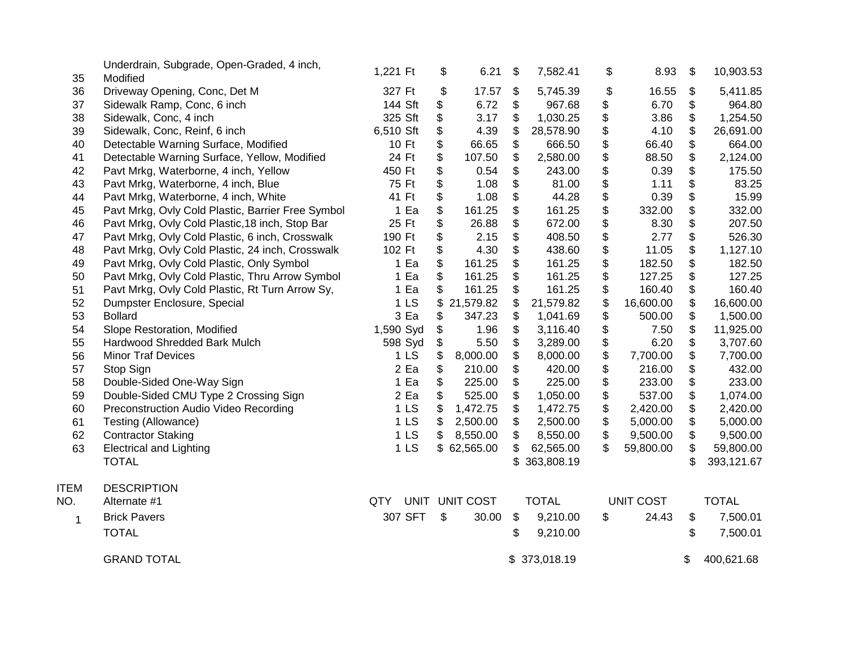|             | Underdrain, Subgrade, Open-Graded, 4 inch,        | 1,221 Ft        | \$<br>6.21      | \$                        | 7,582.41     | \$<br>8.93       | \$<br>10,903.53  |
|-------------|---------------------------------------------------|-----------------|-----------------|---------------------------|--------------|------------------|------------------|
| 35          | Modified                                          |                 |                 |                           |              |                  |                  |
| 36          | Driveway Opening, Conc, Det M                     | 327 Ft          | \$<br>17.57     | \$                        | 5,745.39     | \$<br>16.55      | \$<br>5,411.85   |
| 37          | Sidewalk Ramp, Conc, 6 inch                       | 144 Sft         | \$<br>6.72      | \$                        | 967.68       | \$<br>6.70       | \$<br>964.80     |
| 38          | Sidewalk, Conc, 4 inch                            | 325 Sft         | \$<br>3.17      | \$                        | 1,030.25     | \$<br>3.86       | \$<br>1,254.50   |
| 39          | Sidewalk, Conc, Reinf, 6 inch                     | 6,510 Sft       | \$<br>4.39      | \$                        | 28,578.90    | \$<br>4.10       | \$<br>26,691.00  |
| 40          | Detectable Warning Surface, Modified              | 10 Ft           | \$<br>66.65     | \$                        | 666.50       | \$<br>66.40      | \$<br>664.00     |
| 41          | Detectable Warning Surface, Yellow, Modified      | 24 Ft           | \$<br>107.50    | \$                        | 2,580.00     | \$<br>88.50      | \$<br>2,124.00   |
| 42          | Pavt Mrkg, Waterborne, 4 inch, Yellow             | 450 Ft          | \$<br>0.54      | \$                        | 243.00       | \$<br>0.39       | \$<br>175.50     |
| 43          | Pavt Mrkg, Waterborne, 4 inch, Blue               | 75 Ft           | \$<br>1.08      | \$                        | 81.00        | \$<br>1.11       | \$<br>83.25      |
| 44          | Pavt Mrkg, Waterborne, 4 inch, White              | 41 Ft           | \$<br>1.08      | \$                        | 44.28        | \$<br>0.39       | \$<br>15.99      |
| 45          | Pavt Mrkg, Ovly Cold Plastic, Barrier Free Symbol | 1 Ea            | \$<br>161.25    | \$                        | 161.25       | \$<br>332.00     | \$<br>332.00     |
| 46          | Pavt Mrkg, Ovly Cold Plastic, 18 inch, Stop Bar   | 25 Ft           | \$<br>26.88     | \$                        | 672.00       | \$<br>8.30       | \$<br>207.50     |
| 47          | Pavt Mrkg, Ovly Cold Plastic, 6 inch, Crosswalk   | 190 Ft          | \$<br>2.15      | \$                        | 408.50       | \$<br>2.77       | \$<br>526.30     |
| 48          | Pavt Mrkg, Ovly Cold Plastic, 24 inch, Crosswalk  | 102 Ft          | \$<br>4.30      | \$                        | 438.60       | \$<br>11.05      | \$<br>1,127.10   |
| 49          | Pavt Mrkg, Ovly Cold Plastic, Only Symbol         | 1 Ea            | \$<br>161.25    | \$                        | 161.25       | \$<br>182.50     | \$<br>182.50     |
| 50          | Pavt Mrkg, Ovly Cold Plastic, Thru Arrow Symbol   | 1 Ea            | \$<br>161.25    | \$                        | 161.25       | \$<br>127.25     | \$<br>127.25     |
| 51          | Pavt Mrkg, Ovly Cold Plastic, Rt Turn Arrow Sy,   | 1 Ea            | \$<br>161.25    | \$                        | 161.25       | \$<br>160.40     | \$<br>160.40     |
| 52          | Dumpster Enclosure, Special                       | 1 <sub>LS</sub> | \$<br>21,579.82 | \$                        | 21,579.82    | \$<br>16,600.00  | \$<br>16,600.00  |
| 53          | <b>Bollard</b>                                    | 3 Ea            | \$<br>347.23    | \$                        | 1,041.69     | \$<br>500.00     | \$<br>1,500.00   |
| 54          | Slope Restoration, Modified                       | 1,590 Syd       | \$<br>1.96      | \$                        | 3,116.40     | \$<br>7.50       | \$<br>11,925.00  |
| 55          | Hardwood Shredded Bark Mulch                      | 598 Syd         | \$<br>5.50      | \$                        | 3,289.00     | \$<br>6.20       | \$<br>3,707.60   |
| 56          | <b>Minor Traf Devices</b>                         | 1 <sub>LS</sub> | \$<br>8,000.00  | \$                        | 8,000.00     | \$<br>7,700.00   | \$<br>7,700.00   |
| 57          | Stop Sign                                         | 2 Ea            | \$<br>210.00    | \$                        | 420.00       | \$<br>216.00     | \$<br>432.00     |
| 58          | Double-Sided One-Way Sign                         | 1 Ea            | \$<br>225.00    | \$                        | 225.00       | \$<br>233.00     | \$<br>233.00     |
| 59          | Double-Sided CMU Type 2 Crossing Sign             | 2 Ea            | \$<br>525.00    | \$                        | 1,050.00     | \$<br>537.00     | \$<br>1,074.00   |
| 60          | Preconstruction Audio Video Recording             | 1 <sub>LS</sub> | \$<br>1,472.75  | \$                        | 1,472.75     | \$<br>2,420.00   | \$<br>2,420.00   |
| 61          | Testing (Allowance)                               | 1 <sub>LS</sub> | \$<br>2,500.00  | $\frac{1}{2}$             | 2,500.00     | \$<br>5,000.00   | \$<br>5,000.00   |
| 62          | <b>Contractor Staking</b>                         | 1 <sub>LS</sub> | \$<br>8,550.00  | \$                        | 8,550.00     | \$<br>9,500.00   | \$<br>9,500.00   |
| 63          | <b>Electrical and Lighting</b>                    | 1 <sub>LS</sub> | \$62,565.00     | \$                        | 62,565.00    | \$<br>59,800.00  | \$<br>59,800.00  |
|             | <b>TOTAL</b>                                      |                 |                 |                           | 363,808.19   |                  | \$<br>393,121.67 |
| <b>ITEM</b> | <b>DESCRIPTION</b>                                |                 |                 |                           |              |                  |                  |
| NO.         | Alternate #1                                      | QTY             | UNIT UNIT COST  |                           | <b>TOTAL</b> | <b>UNIT COST</b> | <b>TOTAL</b>     |
| 1           | <b>Brick Pavers</b>                               | 307 SFT         | \$<br>30.00     | $\boldsymbol{\mathsf{S}}$ | 9,210.00     | \$<br>24.43      | \$<br>7,500.01   |
|             | <b>TOTAL</b>                                      |                 |                 | \$                        | 9,210.00     |                  | \$<br>7,500.01   |
|             | <b>GRAND TOTAL</b>                                |                 |                 |                           | \$373,018.19 |                  | \$<br>400,621.68 |
|             |                                                   |                 |                 |                           |              |                  |                  |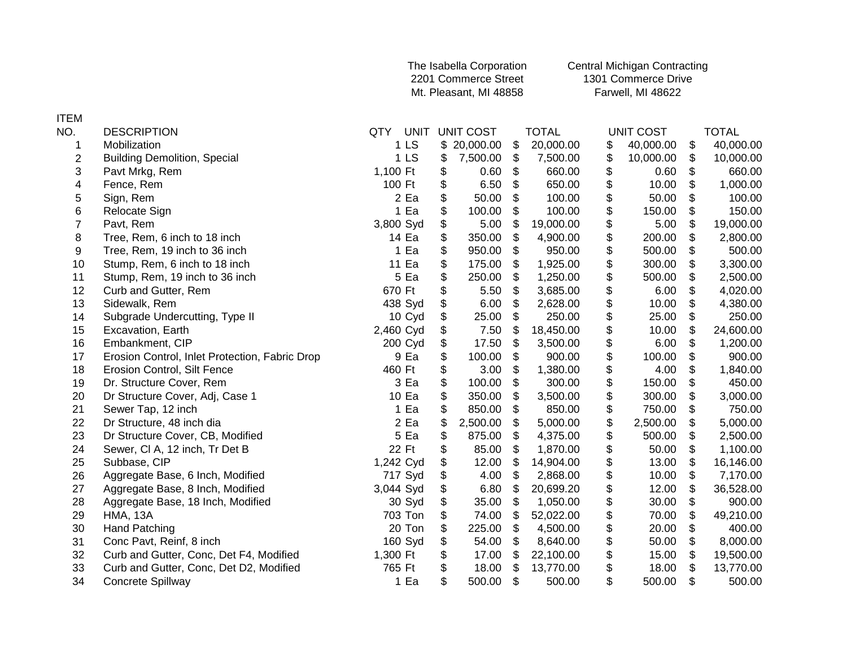|                |                                                | The Isabella Corporation |                        |                      |                     |              | <b>Central Michigan Contracting</b> |                  |    |              |  |  |
|----------------|------------------------------------------------|--------------------------|------------------------|----------------------|---------------------|--------------|-------------------------------------|------------------|----|--------------|--|--|
|                |                                                |                          |                        | 2201 Commerce Street | 1301 Commerce Drive |              |                                     |                  |    |              |  |  |
|                |                                                |                          | Mt. Pleasant, MI 48858 | Farwell, MI 48622    |                     |              |                                     |                  |    |              |  |  |
| <b>ITEM</b>    |                                                |                          |                        |                      |                     |              |                                     |                  |    |              |  |  |
| NO.            | <b>DESCRIPTION</b>                             | QTY                      |                        | UNIT UNIT COST       |                     | <b>TOTAL</b> |                                     | <b>UNIT COST</b> |    | <b>TOTAL</b> |  |  |
| 1              | Mobilization                                   | 1 <sub>LS</sub>          |                        | \$20,000.00          | \$                  | 20,000.00    | \$                                  | 40,000.00        | \$ | 40,000.00    |  |  |
| $\overline{2}$ | <b>Building Demolition, Special</b>            | 1 <sub>LS</sub>          | \$                     | 7,500.00             | \$                  | 7,500.00     | \$                                  | 10,000.00        | \$ | 10,000.00    |  |  |
| 3              | Pavt Mrkg, Rem                                 | 1,100 Ft                 | \$                     | 0.60                 | \$                  | 660.00       | \$                                  | 0.60             | \$ | 660.00       |  |  |
| 4              | Fence, Rem                                     | 100 Ft                   | \$                     | 6.50                 | \$                  | 650.00       | \$                                  | 10.00            | \$ | 1,000.00     |  |  |
| 5              | Sign, Rem                                      | 2 Ea                     | \$                     | 50.00                | \$                  | 100.00       | \$                                  | 50.00            | \$ | 100.00       |  |  |
| 6              | Relocate Sign                                  | 1 Ea                     | \$                     | 100.00               | \$                  | 100.00       | \$                                  | 150.00           | \$ | 150.00       |  |  |
| $\overline{7}$ | Pavt, Rem                                      | 3,800 Syd                | \$                     | 5.00                 | \$                  | 19,000.00    | \$                                  | 5.00             | \$ | 19,000.00    |  |  |
| 8              | Tree, Rem, 6 inch to 18 inch                   | 14 Ea                    | \$                     | 350.00               | \$                  | 4,900.00     | \$                                  | 200.00           | \$ | 2,800.00     |  |  |
| 9              | Tree, Rem, 19 inch to 36 inch                  | 1 Ea                     | \$                     | 950.00               | \$                  | 950.00       | \$                                  | 500.00           | \$ | 500.00       |  |  |
| 10             | Stump, Rem, 6 inch to 18 inch                  | 11 Ea                    | \$                     | 175.00               | \$                  | 1,925.00     | \$                                  | 300.00           | \$ | 3,300.00     |  |  |
| 11             | Stump, Rem, 19 inch to 36 inch                 | 5 Ea                     | \$                     | 250.00               | \$                  | 1,250.00     | \$                                  | 500.00           | \$ | 2,500.00     |  |  |
| 12             | Curb and Gutter, Rem                           | 670 Ft                   | \$                     | 5.50                 | \$                  | 3,685.00     | \$                                  | 6.00             | \$ | 4,020.00     |  |  |
| 13             | Sidewalk, Rem                                  | 438 Syd                  | \$                     | 6.00                 | \$                  | 2,628.00     | \$                                  | 10.00            | \$ | 4,380.00     |  |  |
| 14             | Subgrade Undercutting, Type II                 | 10 Cyd                   | \$                     | 25.00                | \$                  | 250.00       | \$                                  | 25.00            | \$ | 250.00       |  |  |
| 15             | Excavation, Earth                              | 2,460 Cyd                | \$                     | 7.50                 | \$                  | 18,450.00    | \$                                  | 10.00            | \$ | 24,600.00    |  |  |
| 16             | Embankment, CIP                                | 200 Cyd                  | \$                     | 17.50                | \$                  | 3,500.00     | \$                                  | 6.00             | \$ | 1,200.00     |  |  |
| 17             | Erosion Control, Inlet Protection, Fabric Drop | 9 Ea                     | \$                     | 100.00               | \$                  | 900.00       | \$                                  | 100.00           | \$ | 900.00       |  |  |
| 18             | Erosion Control, Silt Fence                    | 460 Ft                   | \$                     | 3.00                 | \$                  | 1,380.00     | \$                                  | 4.00             | \$ | 1,840.00     |  |  |
| 19             | Dr. Structure Cover, Rem                       | 3 Ea                     | \$                     | 100.00               | \$                  | 300.00       | \$                                  | 150.00           | \$ | 450.00       |  |  |
| 20             | Dr Structure Cover, Adj, Case 1                | 10 Ea                    | \$                     | 350.00               | \$                  | 3,500.00     | \$                                  | 300.00           | \$ | 3,000.00     |  |  |
| 21             | Sewer Tap, 12 inch                             | 1 Ea                     | \$                     | 850.00               | \$                  | 850.00       | \$                                  | 750.00           | \$ | 750.00       |  |  |
| 22             | Dr Structure, 48 inch dia                      | 2 Ea                     | \$                     | 2,500.00             | \$                  | 5,000.00     | \$                                  | 2,500.00         | \$ | 5,000.00     |  |  |
| 23             | Dr Structure Cover, CB, Modified               | 5 Ea                     | \$                     | 875.00               | \$                  | 4,375.00     | \$                                  | 500.00           | \$ | 2,500.00     |  |  |
| 24             | Sewer, CI A, 12 inch, Tr Det B                 | 22 Ft                    | \$                     | 85.00                | \$                  | 1,870.00     | \$                                  | 50.00            | \$ | 1,100.00     |  |  |
| 25             | Subbase, CIP                                   | 1,242 Cyd                | \$                     | 12.00                | \$                  | 14,904.00    | \$                                  | 13.00            | \$ | 16,146.00    |  |  |
| 26             | Aggregate Base, 6 Inch, Modified               | 717 Syd                  | \$                     | 4.00                 | \$                  | 2,868.00     | \$                                  | 10.00            | \$ | 7,170.00     |  |  |
| 27             | Aggregate Base, 8 Inch, Modified               | 3,044 Syd                | \$                     | 6.80                 | \$                  | 20,699.20    | \$                                  | 12.00            | \$ | 36,528.00    |  |  |
| 28             | Aggregate Base, 18 Inch, Modified              | 30 Syd                   | \$                     | 35.00                | \$                  | 1,050.00     | \$                                  | 30.00            | \$ | 900.00       |  |  |
| 29             | <b>HMA, 13A</b>                                | 703 Ton                  | \$                     | 74.00                | \$                  | 52,022.00    | \$                                  | 70.00            | \$ | 49,210.00    |  |  |
| 30             | <b>Hand Patching</b>                           | 20 Ton                   | \$                     | 225.00               | \$                  | 4,500.00     | \$                                  | 20.00            | \$ | 400.00       |  |  |
| 31             | Conc Pavt, Reinf, 8 inch                       | 160 Syd                  | \$                     | 54.00                | \$                  | 8,640.00     | \$                                  | 50.00            | \$ | 8,000.00     |  |  |
| 32             | Curb and Gutter, Conc, Det F4, Modified        | 1,300 Ft                 | \$                     | 17.00                | \$                  | 22,100.00    | \$                                  | 15.00            | \$ | 19,500.00    |  |  |
| 33             | Curb and Gutter, Conc, Det D2, Modified        | 765 Ft                   | \$                     | 18.00                | \$                  | 13,770.00    | \$                                  | 18.00            | \$ | 13,770.00    |  |  |
| 34             | <b>Concrete Spillway</b>                       | 1 Ea                     | \$                     | 500.00               | \$                  | 500.00       | \$                                  | 500.00           | \$ | 500.00       |  |  |